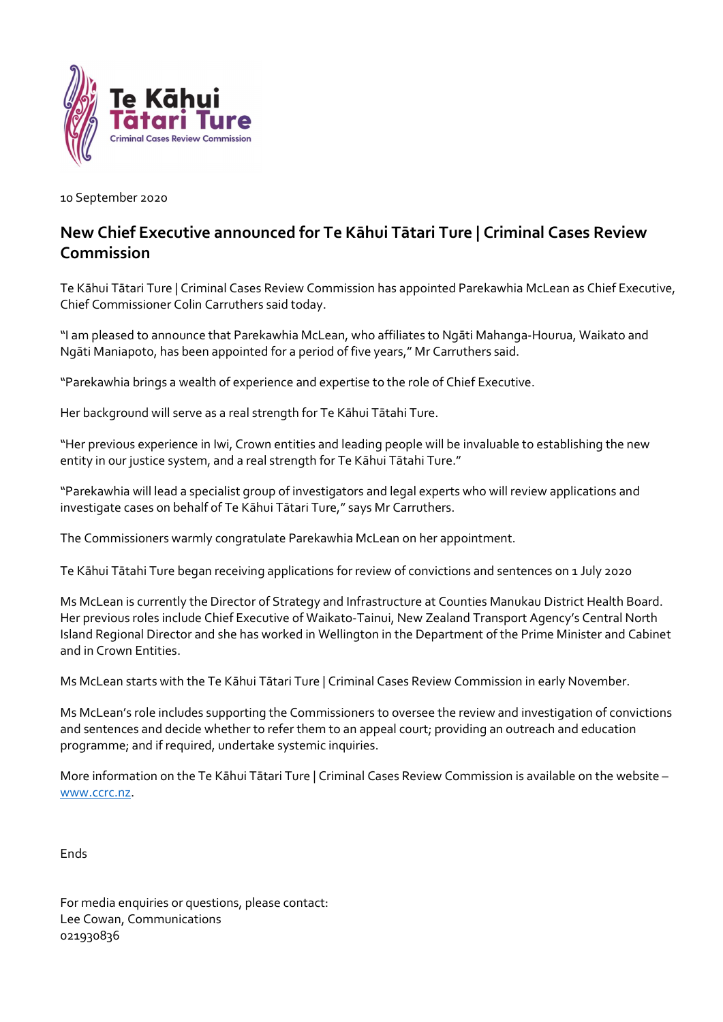

10 September 2020

## New Chief Executive announced for Te Kāhui Tātari Ture | Criminal Cases Review Commission

Te Kāhui Tātari Ture | Criminal Cases Review Commission has appointed Parekawhia McLean as Chief Executive, Chief Commissioner Colin Carruthers said today.

"I am pleased to announce that Parekawhia McLean, who affiliates to Ngāti Mahanga-Hourua, Waikato and Ngāti Maniapoto, has been appointed for a period of five years," Mr Carruthers said.

"Parekawhia brings a wealth of experience and expertise to the role of Chief Executive.

Her background will serve as a real strength for Te Kāhui Tātahi Ture.

"Her previous experience in Iwi, Crown entities and leading people will be invaluable to establishing the new entity in our justice system, and a real strength for Te Kāhui Tātahi Ture."

"Parekawhia will lead a specialist group of investigators and legal experts who will review applications and investigate cases on behalf of Te Kāhui Tātari Ture," says Mr Carruthers.

The Commissioners warmly congratulate Parekawhia McLean on her appointment.

Te Kāhui Tātahi Ture began receiving applications for review of convictions and sentences on 1 July 2020

Ms McLean is currently the Director of Strategy and Infrastructure at Counties Manukau District Health Board. Her previous roles include Chief Executive of Waikato-Tainui, New Zealand Transport Agency's Central North Island Regional Director and she has worked in Wellington in the Department of the Prime Minister and Cabinet and in Crown Entities.

Ms McLean starts with the Te Kāhui Tātari Ture | Criminal Cases Review Commission in early November.

Ms McLean's role includes supporting the Commissioners to oversee the review and investigation of convictions and sentences and decide whether to refer them to an appeal court; providing an outreach and education programme; and if required, undertake systemic inquiries.

More information on the Te Kāhui Tātari Ture | Criminal Cases Review Commission is available on the website – www.ccrc.nz.

Ends

For media enquiries or questions, please contact: Lee Cowan, Communications 021930836